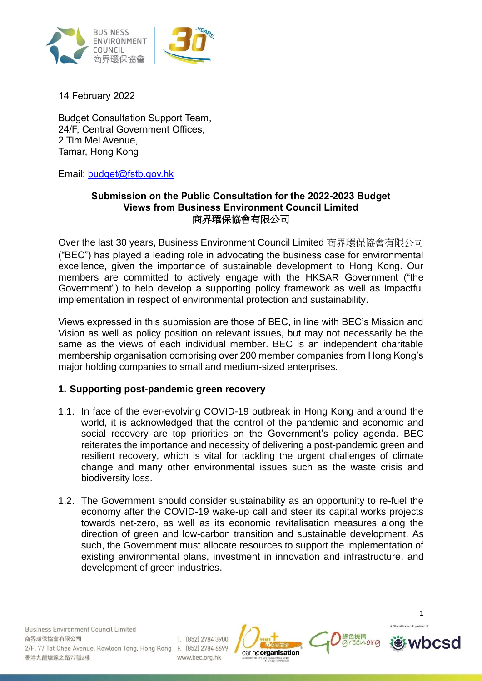



14 February 2022

Budget Consultation Support Team, 24/F, Central Government Offices, 2 Tim Mei Avenue, Tamar, Hong Kong

Email: [budget@fstb.gov.hk](file:///C:/Users/dwong/Downloads/budget@fstb.gov.hk)

## **Submission on the Public Consultation for the 2022-2023 Budget Views from Business Environment Council Limited** 商界環保協會有限公司

Over the last 30 years, Business Environment Council Limited 商界環保協會有限公司 ("BEC") has played a leading role in advocating the business case for environmental excellence, given the importance of sustainable development to Hong Kong. Our members are committed to actively engage with the HKSAR Government ("the Government") to help develop a supporting policy framework as well as impactful implementation in respect of environmental protection and sustainability.

Views expressed in this submission are those of BEC, in line with BEC's Mission and Vision as well as policy position on relevant issues, but may not necessarily be the same as the views of each individual member. BEC is an independent charitable membership organisation comprising over 200 member companies from Hong Kong's major holding companies to small and medium-sized enterprises.

# **1. Supporting post-pandemic green recovery**

- 1.1. In face of the ever-evolving COVID-19 outbreak in Hong Kong and around the world, it is acknowledged that the control of the pandemic and economic and social recovery are top priorities on the Government's policy agenda. BEC reiterates the importance and necessity of delivering a post-pandemic green and resilient recovery, which is vital for tackling the urgent challenges of climate change and many other environmental issues such as the waste crisis and biodiversity loss.
- 1.2. The Government should consider sustainability as an opportunity to re-fuel the economy after the COVID-19 wake-up call and steer its capital works projects towards net-zero, as well as its economic revitalisation measures along the direction of green and low-carbon transition and sustainable development. As such, the Government must allocate resources to support the implementation of existing environmental plans, investment in innovation and infrastructure, and development of green industries.





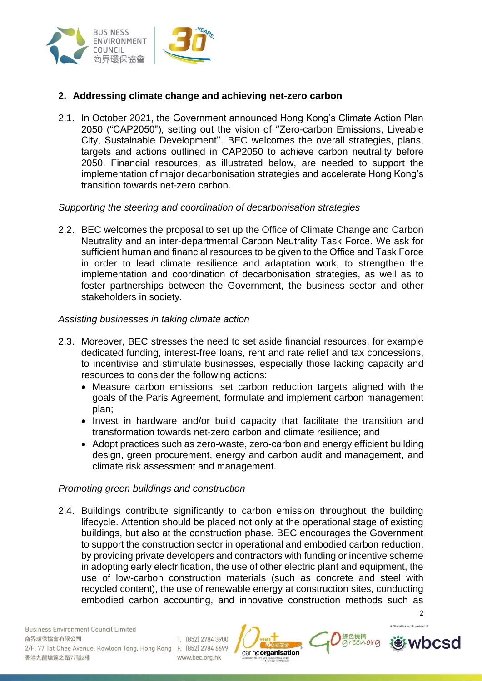

### **2. Addressing climate change and achieving net-zero carbon**

2.1. In October 2021, the Government announced Hong Kong's Climate Action Plan 2050 ("CAP2050"), setting out the vision of ''Zero-carbon Emissions, Liveable City, Sustainable Development''. BEC welcomes the overall strategies, plans, targets and actions outlined in CAP2050 to achieve carbon neutrality before 2050. Financial resources, as illustrated below, are needed to support the implementation of major decarbonisation strategies and accelerate Hong Kong's transition towards net-zero carbon.

#### *Supporting the steering and coordination of decarbonisation strategies*

2.2. BEC welcomes the proposal to set up the Office of Climate Change and Carbon Neutrality and an inter-departmental Carbon Neutrality Task Force. We ask for sufficient human and financial resources to be given to the Office and Task Force in order to lead climate resilience and adaptation work, to strengthen the implementation and coordination of decarbonisation strategies, as well as to foster partnerships between the Government, the business sector and other stakeholders in society.

#### *Assisting businesses in taking climate action*

- 2.3. Moreover, BEC stresses the need to set aside financial resources, for example dedicated funding, interest-free loans, rent and rate relief and tax concessions, to incentivise and stimulate businesses, especially those lacking capacity and resources to consider the following actions:
	- Measure carbon emissions, set carbon reduction targets aligned with the goals of the Paris Agreement, formulate and implement carbon management plan;
	- Invest in hardware and/or build capacity that facilitate the transition and transformation towards net-zero carbon and climate resilience; and
	- Adopt practices such as zero-waste, zero-carbon and energy efficient building design, green procurement, energy and carbon audit and management, and climate risk assessment and management.

#### *Promoting green buildings and construction*

2.4. Buildings contribute significantly to carbon emission throughout the building lifecycle. Attention should be placed not only at the operational stage of existing buildings, but also at the construction phase. BEC encourages the Government to support the construction sector in operational and embodied carbon reduction, by providing private developers and contractors with funding or incentive scheme in adopting early electrification, the use of other electric plant and equipment, the use of low-carbon construction materials (such as concrete and steel with recycled content), the use of renewable energy at construction sites, conducting embodied carbon accounting, and innovative construction methods such as

caringorganisation



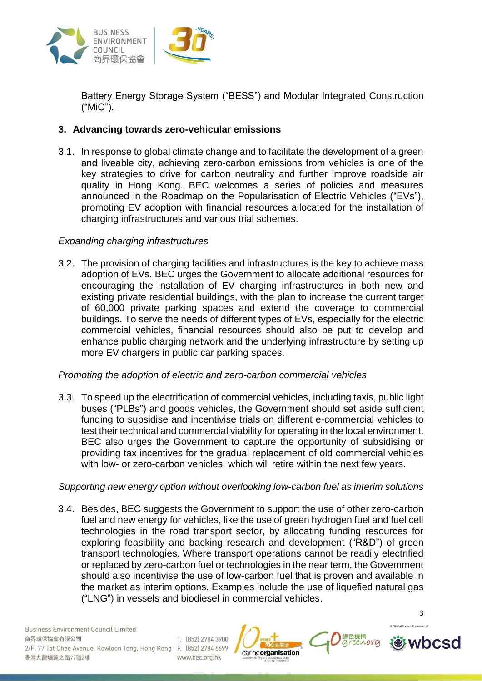

Battery Energy Storage System ("BESS") and Modular Integrated Construction ("MiC").

# **3. Advancing towards zero-vehicular emissions**

3.1. In response to global climate change and to facilitate the development of a green and liveable city, achieving zero-carbon emissions from vehicles is one of the key strategies to drive for carbon neutrality and further improve roadside air quality in Hong Kong. BEC welcomes a series of policies and measures announced in the Roadmap on the Popularisation of Electric Vehicles ("EVs"), promoting EV adoption with financial resources allocated for the installation of charging infrastructures and various trial schemes.

## *Expanding charging infrastructures*

3.2. The provision of charging facilities and infrastructures is the key to achieve mass adoption of EVs. BEC urges the Government to allocate additional resources for encouraging the installation of EV charging infrastructures in both new and existing private residential buildings, with the plan to increase the current target of 60,000 private parking spaces and extend the coverage to commercial buildings. To serve the needs of different types of EVs, especially for the electric commercial vehicles, financial resources should also be put to develop and enhance public charging network and the underlying infrastructure by setting up more EV chargers in public car parking spaces.

### *Promoting the adoption of electric and zero-carbon commercial vehicles*

3.3. To speed up the electrification of commercial vehicles, including taxis, public light buses ("PLBs") and goods vehicles, the Government should set aside sufficient funding to subsidise and incentivise trials on different e-commercial vehicles to test their technical and commercial viability for operating in the local environment. BEC also urges the Government to capture the opportunity of subsidising or providing tax incentives for the gradual replacement of old commercial vehicles with low- or zero-carbon vehicles, which will retire within the next few years.

# *Supporting new energy option without overlooking low-carbon fuel as interim solutions*

3.4. Besides, BEC suggests the Government to support the use of other zero-carbon fuel and new energy for vehicles, like the use of green hydrogen fuel and fuel cell technologies in the road transport sector, by allocating funding resources for exploring feasibility and backing research and development ("R&D") of green transport technologies. Where transport operations cannot be readily electrified or replaced by zero-carbon fuel or technologies in the near term, the Government should also incentivise the use of low-carbon fuel that is proven and available in the market as interim options. Examples include the use of liquefied natural gas ("LNG") in vessels and biodiesel in commercial vehicles.



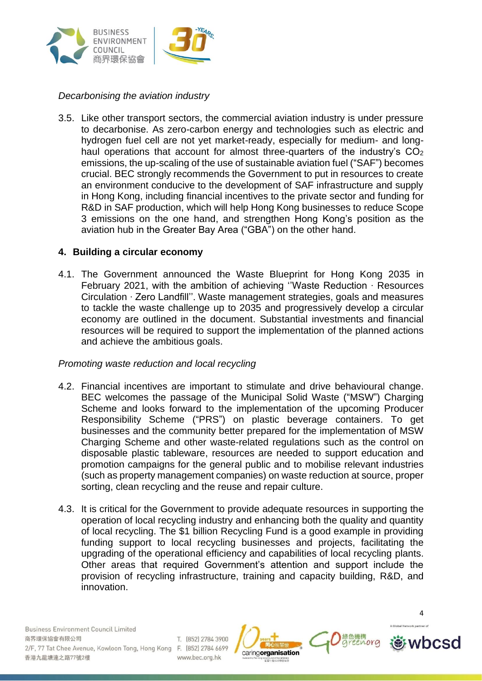

# *Decarbonising the aviation industry*

3.5. Like other transport sectors, the commercial aviation industry is under pressure to decarbonise. As zero-carbon energy and technologies such as electric and hydrogen fuel cell are not yet market-ready, especially for medium- and longhaul operations that account for almost three-quarters of the industry's  $CO<sub>2</sub>$ emissions, the up-scaling of the use of sustainable aviation fuel ("SAF") becomes crucial. BEC strongly recommends the Government to put in resources to create an environment conducive to the development of SAF infrastructure and supply in Hong Kong, including financial incentives to the private sector and funding for R&D in SAF production, which will help Hong Kong businesses to reduce Scope 3 emissions on the one hand, and strengthen Hong Kong's position as the aviation hub in the Greater Bay Area ("GBA") on the other hand.

### **4. Building a circular economy**

4.1. The Government announced the Waste Blueprint for Hong Kong 2035 in February 2021, with the ambition of achieving ''Waste Reduction ‧ Resources Circulation ‧ Zero Landfill''. Waste management strategies, goals and measures to tackle the waste challenge up to 2035 and progressively develop a circular economy are outlined in the document. Substantial investments and financial resources will be required to support the implementation of the planned actions and achieve the ambitious goals.

### *Promoting waste reduction and local recycling*

- 4.2. Financial incentives are important to stimulate and drive behavioural change. BEC welcomes the passage of the Municipal Solid Waste ("MSW") Charging Scheme and looks forward to the implementation of the upcoming Producer Responsibility Scheme ("PRS") on plastic beverage containers. To get businesses and the community better prepared for the implementation of MSW Charging Scheme and other waste-related regulations such as the control on disposable plastic tableware, resources are needed to support education and promotion campaigns for the general public and to mobilise relevant industries (such as property management companies) on waste reduction at source, proper sorting, clean recycling and the reuse and repair culture.
- 4.3. It is critical for the Government to provide adequate resources in supporting the operation of local recycling industry and enhancing both the quality and quantity of local recycling. The \$1 billion Recycling Fund is a good example in providing funding support to local recycling businesses and projects, facilitating the upgrading of the operational efficiency and capabilities of local recycling plants. Other areas that required Government's attention and support include the provision of recycling infrastructure, training and capacity building, R&D, and innovation.

caringorganisation